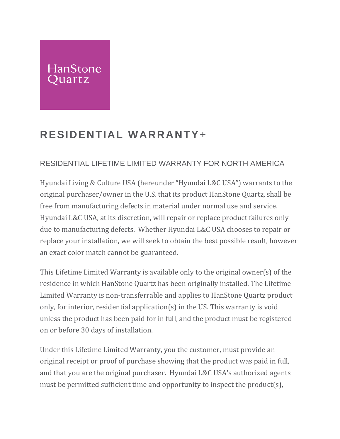## **HanStone** uartz

## **RESIDENTIAL WARRANTY**+

## RESIDENTIAL LIFETIME LIMITED WARRANTY FOR NORTH AMERICA

Hyundai Living & Culture USA (hereunder "Hyundai L&C USA") warrants to the original purchaser/owner in the U.S. that its product HanStone Quartz, shall be free from manufacturing defects in material under normal use and service. Hyundai L&C USA, at its discretion, will repair or replace product failures only due to manufacturing defects. Whether Hyundai L&C USA chooses to repair or replace your installation, we will seek to obtain the best possible result, however an exact color match cannot be guaranteed.

This Lifetime Limited Warranty is available only to the original owner(s) of the residence in which HanStone Quartz has been originally installed. The Lifetime Limited Warranty is non-transferrable and applies to HanStone Quartz product only, for interior, residential application(s) in the US. This warranty is void unless the product has been paid for in full, and the product must be registered on or before 30 days of installation.

Under this Lifetime Limited Warranty, you the customer, must provide an original receipt or proof of purchase showing that the product was paid in full, and that you are the original purchaser. Hyundai L&C USA's authorized agents must be permitted sufficient time and opportunity to inspect the product(s),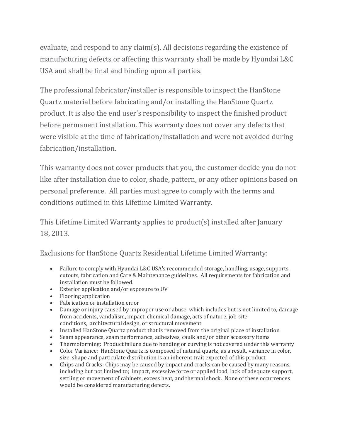evaluate, and respond to any claim(s). All decisions regarding the existence of manufacturing defects or affecting this warranty shall be made by Hyundai L&C USA and shall be final and binding upon all parties.

The professional fabricator/installer is responsible to inspect the HanStone Quartz material before fabricating and/or installing the HanStone Quartz product. It is also the end user's responsibility to inspect the finished product before permanent installation. This warranty does not cover any defects that were visible at the time of fabrication/installation and were not avoided during fabrication/installation.

This warranty does not cover products that you, the customer decide you do not like after installation due to color, shade, pattern, or any other opinions based on personal preference. All parties must agree to comply with the terms and conditions outlined in this Lifetime Limited Warranty.

This Lifetime Limited Warranty applies to product(s) installed after January 18, 2013.

Exclusions for HanStone Quartz Residential Lifetime Limited Warranty:

- Failure to comply with Hyundai L&C USA's recommended storage, handling, usage, supports, cutouts, fabrication and Care & Maintenance guidelines. All requirements for fabrication and installation must be followed.
- Exterior application and/or exposure to UV
- Flooring application
- Fabrication or installation error
- Damage or injury caused by improper use or abuse, which includes but is not limited to, damage from accidents, vandalism, impact, chemical damage, acts of nature, job-site conditions, architectural design, or structural movement
- Installed HanStone Quartz product that is removed from the original place of installation
- Seam appearance, seam performance, adhesives, caulk and/or other accessory items
- Thermoforming: Product failure due to bending or curving is not covered under this warranty
- Color Variance: HanStone Quartz is composed of natural quartz, as a result, variance in color, size, shape and particulate distribution is an inherent trait expected of this product
- Chips and Cracks: Chips may be caused by impact and cracks can be caused by many reasons, including but not limited to; impact, excessive force or applied load, lack of adequate support, settling or movement of cabinets, excess heat, and thermal shock. None of these occurrences would be considered manufacturing defects.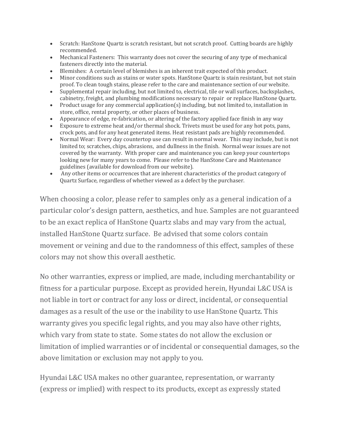- Scratch: HanStone Quartz is scratch resistant, but not scratch proof. Cutting boards are highly recommended.
- Mechanical Fasteners: This warranty does not cover the securing of any type of mechanical fasteners directly into the material.
- Blemishes: A certain level of blemishes is an inherent trait expected of this product.
- Minor conditions such as stains or water spots. HanStone Quartz is stain resistant, but not stain proof. To clean tough stains, please refer to the care and maintenance section of our website.
- Supplemental repair including, but not limited to, electrical, tile or wall surfaces, backsplashes, cabinetry, freight, and plumbing modifications necessary to repair or replace HanStone Quartz.
- Product usage for any commercial application(s) including, but not limited to, installation in store, office, rental property, or other places of business.
- Appearance of edge, re-fabrication, or altering of the factory applied face finish in any way
- Exposure to extreme heat and/or thermal shock. Trivets must be used for any hot pots, pans, crock pots, and for any heat generated items. Heat resistant pads are highly recommended.
- Normal Wear: Every day countertop use can result in normal wear. This may include, but is not limited to; scratches, chips, abrasions, and dullness in the finish. Normal wear issues are not covered by the warranty. With proper care and maintenance you can keep your countertops looking new for many years to come. Please refer to the HanStone Care and Maintenance guidelines (available for download from our website).
- Any other items or occurrences that are inherent characteristics of the product category of Quartz Surface, regardless of whether viewed as a defect by the purchaser.

When choosing a color, please refer to samples only as a general indication of a particular color's design pattern, aesthetics, and hue. Samples are not guaranteed to be an exact replica of HanStone Quartz slabs and may vary from the actual, installed HanStone Quartz surface. Be advised that some colors contain movement or veining and due to the randomness of this effect, samples of these colors may not show this overall aesthetic.

No other warranties, express or implied, are made, including merchantability or fitness for a particular purpose. Except as provided herein, Hyundai L&C USA is not liable in tort or contract for any loss or direct, incidental, or consequential damages as a result of the use or the inability to use HanStone Quartz. This warranty gives you specific legal rights, and you may also have other rights, which vary from state to state. Some states do not allow the exclusion or limitation of implied warranties or of incidental or consequential damages, so the above limitation or exclusion may not apply to you.

Hyundai L&C USA makes no other guarantee, representation, or warranty (express or implied) with respect to its products, except as expressly stated